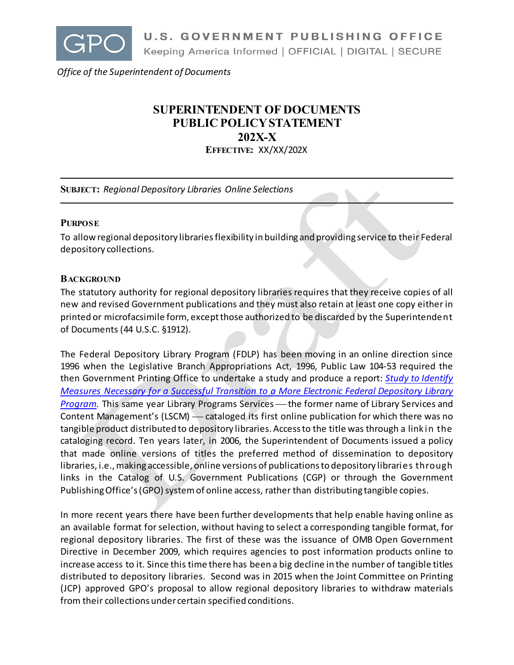

*Office of the Superintendent of Documents*

# **SUPERINTENDENT OF DOCUMENTS PUBLIC POLICY STATEMENT 202X-X**

**EFFECTIVE:** XX/XX/202X

**SUBJECT:** *Regional Depository Libraries Online Selections*

#### **PURPOSE**

To allow regional depository libraries flexibility in building and providing service to their Federal depository collections.

### **BACKGROUND**

The statutory authority for regional depository libraries requires that they receive copies of all new and revised Government publications and they must also retain at least one copy either in printed or microfacsimile form, except those authorized to be discarded by the Superintendent of Documents (44 U.S.C. §1912).

The Federal Depository Library Program (FDLP) has been moving in an online direction since 1996 when the Legislative Branch Appropriations Act, 1996, Public Law 104-53 required the then Government Printing Office to undertake a study and produce a report: *[Study to Identify](https://www.govinfo.gov/content/pkg/GOVPUB-GP3-83702f16b5d4a3823308c2c477545669/pdf/GOVPUB-GP3-83702f16b5d4a3823308c2c477545669.pdf)  Measures Necessary for [a Successful Transition to a More Electronic Federal Depository Library](https://www.govinfo.gov/content/pkg/GOVPUB-GP3-83702f16b5d4a3823308c2c477545669/pdf/GOVPUB-GP3-83702f16b5d4a3823308c2c477545669.pdf)  [Program.](https://www.govinfo.gov/content/pkg/GOVPUB-GP3-83702f16b5d4a3823308c2c477545669/pdf/GOVPUB-GP3-83702f16b5d4a3823308c2c477545669.pdf)* This same year Library Programs Services — the former name of Library Services and Content Management's (LSCM) - cataloged its first online publication for which there was no tangible product distributed to depository libraries. Access to the title was through a link in the cataloging record. Ten years later, in 2006, the Superintendent of Documents issued a policy that made online versions of titles the preferred method of dissemination to depository libraries, i.e., making accessible, online versions of publications to depository libraries through links in the Catalog of U.S. Government Publications (CGP) or through the Government Publishing Office's (GPO) system of online access, rather than distributing tangible copies.

In more recent years there have been further developments that help enable having online as an available format for selection, without having to select a corresponding tangible format, for regional depository libraries. The first of these was the issuance of OMB Open Government Directive in December 2009, which requires agencies to post information products online to increase access to it. Since this time there has been a big decline in the number of tangible titles distributed to depository libraries. Second was in 2015 when the Joint Committee on Printing (JCP) approved GPO's proposal to allow regional depository libraries to withdraw materials from their collections under certain specified conditions.